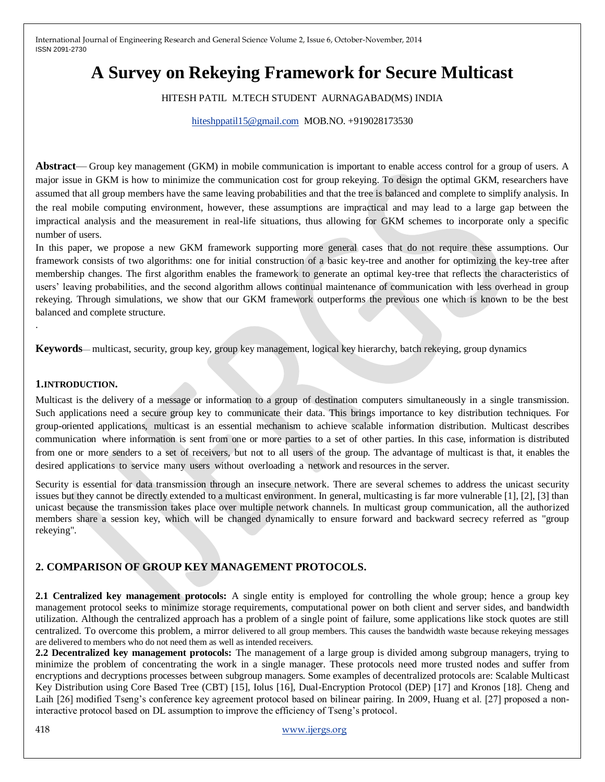# **A Survey on Rekeying Framework for Secure Multicast**

### HITESH PATIL M.TECH STUDENT AURNAGABAD(MS) INDIA

#### [hiteshppatil15@gmail.com](mailto:hiteshppatil15@gmail.com) MOB.NO. +919028173530

**Abstract**— Group key management (GKM) in mobile communication is important to enable access control for a group of users. A major issue in GKM is how to minimize the communication cost for group rekeying. To design the optimal GKM, researchers have assumed that all group members have the same leaving probabilities and that the tree is balanced and complete to simplify analysis. In the real mobile computing environment, however, these assumptions are impractical and may lead to a large gap between the impractical analysis and the measurement in real-life situations, thus allowing for GKM schemes to incorporate only a specific number of users.

In this paper, we propose a new GKM framework supporting more general cases that do not require these assumptions. Our framework consists of two algorithms: one for initial construction of a basic key-tree and another for optimizing the key-tree after membership changes. The first algorithm enables the framework to generate an optimal key-tree that reflects the characteristics of users' leaving probabilities, and the second algorithm allows continual maintenance of communication with less overhead in group rekeying. Through simulations, we show that our GKM framework outperforms the previous one which is known to be the best balanced and complete structure.

**Keywords**— multicast, security, group key, group key management, logical key hierarchy, batch rekeying, group dynamics

#### **1.INTRODUCTION.**

.

Multicast is the delivery of a message or information to a group of destination computers simultaneously in a single transmission. Such applications need a secure group key to communicate their data. This brings importance to key distribution techniques. For group-oriented applications, multicast is an essential mechanism to achieve scalable information distribution. Multicast describes communication where information is sent from one or more parties to a set of other parties. In this case, information is distributed from one or more senders to a set of receivers, but not to all users of the group. The advantage of multicast is that, it enables the desired applications to service many users without overloading a network and resources in the server.

Security is essential for data transmission through an insecure network. There are several schemes to address the unicast security issues but they cannot be directly extended to a multicast environment. In general, multicasting is far more vulnerable [1], [2], [3] than unicast because the transmission takes place over multiple network channels. In multicast group communication, all the authorized members share a session key, which will be changed dynamically to ensure forward and backward secrecy referred as "group rekeying".

# **2. COMPARISON OF GROUP KEY MANAGEMENT PROTOCOLS.**

**2.1 Centralized key management protocols:** A single entity is employed for controlling the whole group; hence a group key management protocol seeks to minimize storage requirements, computational power on both client and server sides, and bandwidth utilization. Although the centralized approach has a problem of a single point of failure, some applications like stock quotes are still centralized. To overcome this problem, a mirror delivered to all group members. This causes the bandwidth waste because rekeying messages are delivered to members who do not need them as well as intended receivers.

**2.2 Decentralized key management protocols:** The management of a large group is divided among subgroup managers, trying to minimize the problem of concentrating the work in a single manager. These protocols need more trusted nodes and suffer from encryptions and decryptions processes between subgroup managers. Some examples of decentralized protocols are: Scalable Multicast Key Distribution using Core Based Tree (CBT) [15], Iolus [16], Dual-Encryption Protocol (DEP) [17] and Kronos [18]. Cheng and Laih [26] modified Tseng's conference key agreement protocol based on bilinear pairing. In 2009, Huang et al. [27] proposed a noninteractive protocol based on DL assumption to improve the efficiency of Tseng's protocol.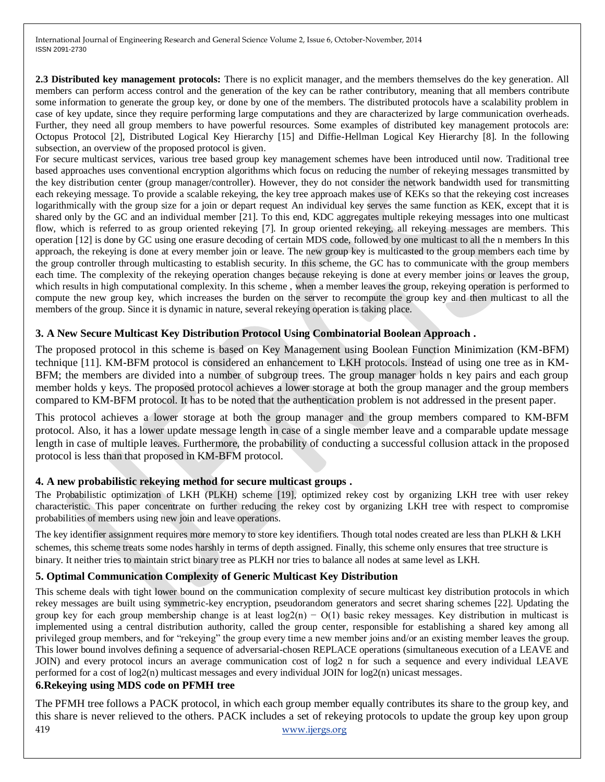**2.3 Distributed key management protocols:** There is no explicit manager, and the members themselves do the key generation. All members can perform access control and the generation of the key can be rather contributory, meaning that all members contribute some information to generate the group key, or done by one of the members. The distributed protocols have a scalability problem in case of key update, since they require performing large computations and they are characterized by large communication overheads. Further, they need all group members to have powerful resources. Some examples of distributed key management protocols are: Octopus Protocol [2], Distributed Logical Key Hierarchy [15] and Diffie-Hellman Logical Key Hierarchy [8]. In the following subsection, an overview of the proposed protocol is given.

For secure multicast services, various tree based group key management schemes have been introduced until now. Traditional tree based approaches uses conventional encryption algorithms which focus on reducing the number of rekeying messages transmitted by the key distribution center (group manager/controller). However, they do not consider the network bandwidth used for transmitting each rekeying message. To provide a scalable rekeying, the key tree approach makes use of KEKs so that the rekeying cost increases logarithmically with the group size for a join or depart request An individual key serves the same function as KEK, except that it is shared only by the GC and an individual member [21]. To this end, KDC aggregates multiple rekeying messages into one multicast flow, which is referred to as group oriented rekeying [7]. In group oriented rekeying, all rekeying messages are members. This operation [12] is done by GC using one erasure decoding of certain MDS code, followed by one multicast to all the n members In this approach, the rekeying is done at every member join or leave. The new group key is multicasted to the group members each time by the group controller through multicasting to establish security. In this scheme, the GC has to communicate with the group members each time. The complexity of the rekeying operation changes because rekeying is done at every member joins or leaves the group, which results in high computational complexity. In this scheme , when a member leaves the group, rekeying operation is performed to compute the new group key, which increases the burden on the server to recompute the group key and then multicast to all the members of the group. Since it is dynamic in nature, several rekeying operation is taking place.

## **3. A New Secure Multicast Key Distribution Protocol Using Combinatorial Boolean Approach .**

The proposed protocol in this scheme is based on Key Management using Boolean Function Minimization (KM-BFM) technique [11]. KM-BFM protocol is considered an enhancement to LKH protocols. Instead of using one tree as in KM-BFM; the members are divided into a number of subgroup trees. The group manager holds n key pairs and each group member holds y keys. The proposed protocol achieves a lower storage at both the group manager and the group members compared to KM-BFM protocol. It has to be noted that the authentication problem is not addressed in the present paper.

This protocol achieves a lower storage at both the group manager and the group members compared to KM-BFM protocol. Also, it has a lower update message length in case of a single member leave and a comparable update message length in case of multiple leaves. Furthermore, the probability of conducting a successful collusion attack in the proposed protocol is less than that proposed in KM-BFM protocol.

### **4. A new probabilistic rekeying method for secure multicast groups .**

The Probabilistic optimization of LKH (PLKH) scheme [19], optimized rekey cost by organizing LKH tree with user rekey characteristic. This paper concentrate on further reducing the rekey cost by organizing LKH tree with respect to compromise probabilities of members using new join and leave operations.

The key identifier assignment requires more memory to store key identifiers. Though total nodes created are less than PLKH & LKH schemes, this scheme treats some nodes harshly in terms of depth assigned. Finally, this scheme only ensures that tree structure is binary. It neither tries to maintain strict binary tree as PLKH nor tries to balance all nodes at same level as LKH.

# **5. Optimal Communication Complexity of Generic Multicast Key Distribution**

This scheme deals with tight lower bound on the communication complexity of secure multicast key distribution protocols in which rekey messages are built using symmetric-key encryption, pseudorandom generators and secret sharing schemes [22]. Updating the group key for each group membership change is at least  $log(2(n) - O(1))$  basic rekey messages. Key distribution in multicast is implemented using a central distribution authority, called the group center, responsible for establishing a shared key among all privileged group members, and for "rekeying" the group every time a new member joins and/or an existing member leaves the group. This lower bound involves defining a sequence of adversarial-chosen REPLACE operations (simultaneous execution of a LEAVE and JOIN) and every protocol incurs an average communication cost of log2 n for such a sequence and every individual LEAVE performed for a cost of log2(n) multicast messages and every individual JOIN for log2(n) unicast messages.

# **6.Rekeying using MDS code on PFMH tree**

419 [www.ijergs.org](http://www.ijergs.org/) The PFMH tree follows a PACK protocol, in which each group member equally contributes its share to the group key, and this share is never relieved to the others. PACK includes a set of rekeying protocols to update the group key upon group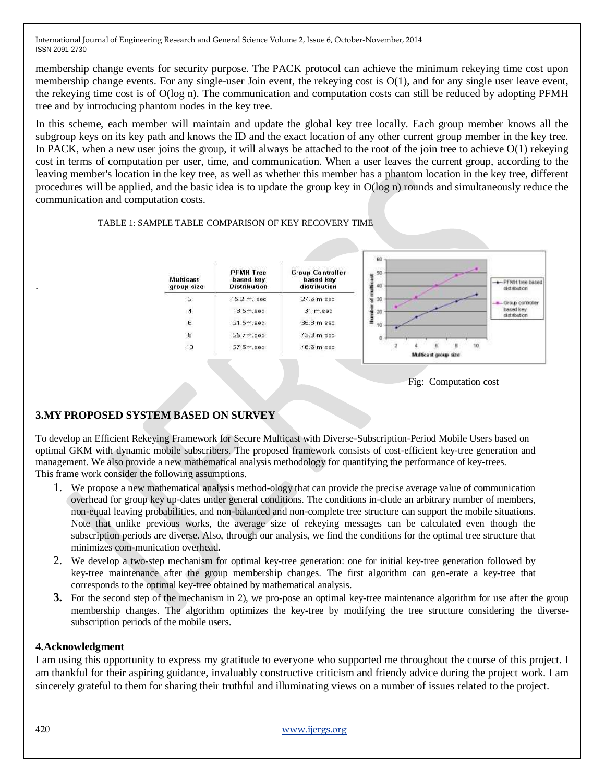membership change events for security purpose. The PACK protocol can achieve the minimum rekeying time cost upon membership change events. For any single-user Join event, the rekeying cost is  $O(1)$ , and for any single user leave event, the rekeying time cost is of O(log n). The communication and computation costs can still be reduced by adopting PFMH tree and by introducing phantom nodes in the key tree.

In this scheme, each member will maintain and update the global key tree locally. Each group member knows all the subgroup keys on its key path and knows the ID and the exact location of any other current group member in the key tree. In PACK, when a new user joins the group, it will always be attached to the root of the join tree to achieve  $O(1)$  rekeying cost in terms of computation per user, time, and communication. When a user leaves the current group, according to the leaving member's location in the key tree, as well as whether this member has a phantom location in the key tree, different procedures will be applied, and the basic idea is to update the group key in O(log n) rounds and simultaneously reduce the communication and computation costs.

#### TABLE 1: SAMPLE TABLE COMPARISON OF KEY RECOVERY TIME





# **3.MY PROPOSED SYSTEM BASED ON SURVEY**

To develop an Efficient Rekeying Framework for Secure Multicast with Diverse-Subscription-Period Mobile Users based on optimal GKM with dynamic mobile subscribers. The proposed framework consists of cost-efficient key-tree generation and management. We also provide a new mathematical analysis methodology for quantifying the performance of key-trees. This frame work consider the following assumptions.

- 1. We propose a new mathematical analysis method-ology that can provide the precise average value of communication overhead for group key up-dates under general conditions. The conditions in-clude an arbitrary number of members, non-equal leaving probabilities, and non-balanced and non-complete tree structure can support the mobile situations. Note that unlike previous works, the average size of rekeying messages can be calculated even though the subscription periods are diverse. Also, through our analysis, we find the conditions for the optimal tree structure that minimizes com-munication overhead.
- 2. We develop a two-step mechanism for optimal key-tree generation: one for initial key-tree generation followed by key-tree maintenance after the group membership changes. The first algorithm can gen-erate a key-tree that corresponds to the optimal key-tree obtained by mathematical analysis.
- **3.** For the second step of the mechanism in 2), we pro-pose an optimal key-tree maintenance algorithm for use after the group membership changes. The algorithm optimizes the key-tree by modifying the tree structure considering the diversesubscription periods of the mobile users.

### **4.Acknowledgment**

I am using this opportunity to express my gratitude to everyone who supported me throughout the course of this project. I am thankful for their aspiring guidance, invaluably constructive criticism and friendy advice during the project work. I am sincerely grateful to them for sharing their truthful and illuminating views on a number of issues related to the project.

.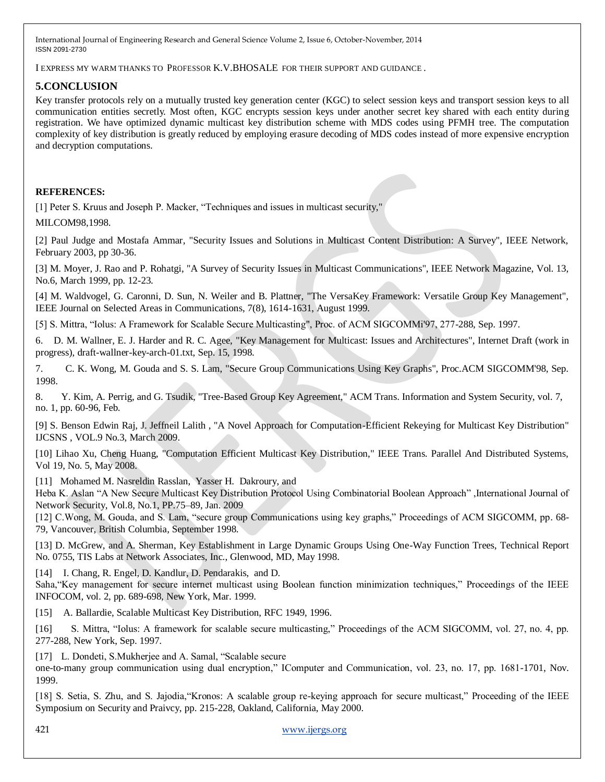I EXPRESS MY WARM THANKS TO PROFESSOR K.V.BHOSALE FOR THEIR SUPPORT AND GUIDANCE .

# **5.CONCLUSION**

Key transfer protocols rely on a mutually trusted key generation center (KGC) to select session keys and transport session keys to all communication entities secretly. Most often, KGC encrypts session keys under another secret key shared with each entity during registration. We have optimized dynamic multicast key distribution scheme with MDS codes using PFMH tree. The computation complexity of key distribution is greatly reduced by employing erasure decoding of MDS codes instead of more expensive encryption and decryption computations.

## **REFERENCES:**

[1] Peter S. Kruus and Joseph P. Macker, "Techniques and issues in multicast security," MILCOM98,1998.

[2] Paul Judge and Mostafa Ammar, "Security Issues and Solutions in Multicast Content Distribution: A Survey", IEEE Network, February 2003, pp 30-36.

[3] M. Moyer, J. Rao and P. Rohatgi, "A Survey of Security Issues in Multicast Communications", IEEE Network Magazine, Vol. 13, No.6, March 1999, pp. 12-23.

[4] M. Waldvogel, G. Caronni, D. Sun, N. Weiler and B. Plattner, "The VersaKey Framework: Versatile Group Key Management", IEEE Journal on Selected Areas in Communications, 7(8), 1614-1631, August 1999.

[5] S. Mittra, "Iolus: A Framework for Scalable Secure Multicasting", Proc. of ACM SIGCOMMi'97, 277-288, Sep. 1997.

6. D. M. Wallner, E. J. Harder and R. C. Agee, "Key Management for Multicast: Issues and Architectures", Internet Draft (work in progress), draft-wallner-key-arch-01.txt, Sep. 15, 1998.

7. C. K. Wong, M. Gouda and S. S. Lam, "Secure Group Communications Using Key Graphs", Proc.ACM SIGCOMM'98, Sep. 1998.

8. Y. Kim, A. Perrig, and G. Tsudik, "Tree-Based Group Key Agreement," ACM Trans. Information and System Security, vol. 7, no. 1, pp. 60-96, Feb.

[9] S. Benson Edwin Raj, J. Jeffneil Lalith , "A Novel Approach for Computation-Efficient Rekeying for Multicast Key Distribution" IJCSNS , VOL.9 No.3, March 2009.

[10] Lihao Xu, Cheng Huang, "Computation Efficient Multicast Key Distribution," IEEE Trans. Parallel And Distributed Systems, Vol 19, No. 5, May 2008.

[11] Mohamed M. Nasreldin Rasslan, Yasser H. Dakroury, and

Heba K. Aslan "A New Secure Multicast Key Distribution Protocol Using Combinatorial Boolean Approach", International Journal of Network Security, Vol.8, No.1, PP.75–89, Jan. 2009

[12] C.Wong, M. Gouda, and S. Lam, "secure group Communications using key graphs," Proceedings of ACM SIGCOMM, pp. 68-79, Vancouver, British Columbia, September 1998.

[13] D. McGrew, and A. Sherman, Key Establishment in Large Dynamic Groups Using One-Way Function Trees, Technical Report No. 0755, TIS Labs at Network Associates, Inc., Glenwood, MD, May 1998.

[14] I. Chang, R. Engel, D. Kandlur, D. Pendarakis, and D.

Saha, "Key management for secure internet multicast using Boolean function minimization techniques," Proceedings of the IEEE INFOCOM, vol. 2, pp. 689-698, New York, Mar. 1999.

[15] A. Ballardie, Scalable Multicast Key Distribution, RFC 1949, 1996.

[16] S. Mittra, "Iolus: A framework for scalable secure multicasting," Proceedings of the ACM SIGCOMM, vol. 27, no. 4, pp. 277-288, New York, Sep. 1997.

[17] L. Dondeti, S. Mukherjee and A. Samal, "Scalable secure

one-to-many group communication using dual encryption," IComputer and Communication, vol. 23, no. 17, pp. 1681-1701, Nov. 1999.

[18] S. Setia, S. Zhu, and S. Jajodia, "Kronos: A scalable group re-keying approach for secure multicast," Proceeding of the IEEE Symposium on Security and Praivcy, pp. 215-228, Oakland, California, May 2000.